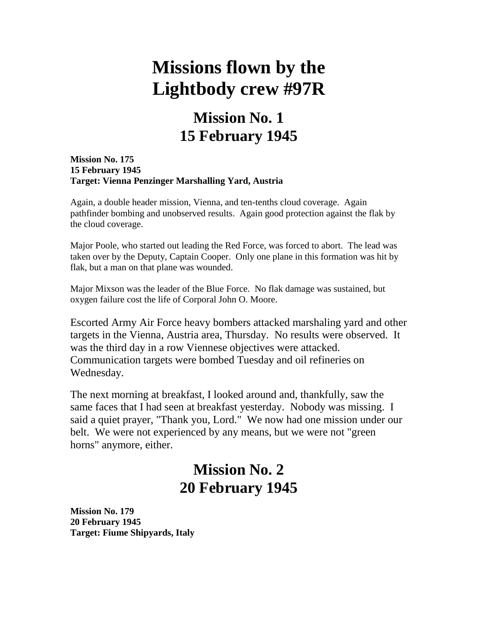# **Missions flown by the Lightbody crew #97R**

# **Mission No. 1 15 February 1945**

**Mission No. 175 15 February 1945 Target: Vienna Penzinger Marshalling Yard, Austria**

Again, a double header mission, Vienna, and ten-tenths cloud coverage. Again pathfinder bombing and unobserved results. Again good protection against the flak by the cloud coverage.

Major Poole, who started out leading the Red Force, was forced to abort. The lead was taken over by the Deputy, Captain Cooper. Only one plane in this formation was hit by flak, but a man on that plane was wounded.

Major Mixson was the leader of the Blue Force. No flak damage was sustained, but oxygen failure cost the life of Corporal John O. Moore.

Escorted Army Air Force heavy bombers attacked marshaling yard and other targets in the Vienna, Austria area, Thursday. No results were observed. It was the third day in a row Viennese objectives were attacked. Communication targets were bombed Tuesday and oil refineries on Wednesday.

The next morning at breakfast, I looked around and, thankfully, saw the same faces that I had seen at breakfast yesterday. Nobody was missing. I said a quiet prayer, "Thank you, Lord." We now had one mission under our belt. We were not experienced by any means, but we were not "green horns" anymore, either.

# **Mission No. 2 20 February 1945**

**Mission No. 179 20 February 1945 Target: Fiume Shipyards, Italy**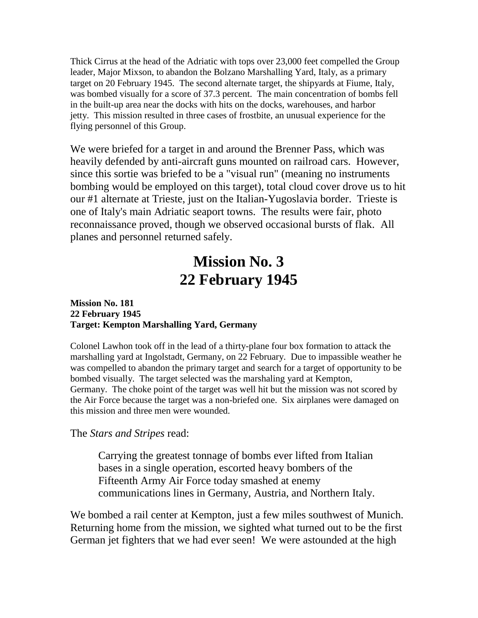Thick Cirrus at the head of the Adriatic with tops over 23,000 feet compelled the Group leader, Major Mixson, to abandon the Bolzano Marshalling Yard, Italy, as a primary target on 20 February 1945. The second alternate target, the shipyards at Fiume, Italy, was bombed visually for a score of 37.3 percent. The main concentration of bombs fell in the built-up area near the docks with hits on the docks, warehouses, and harbor jetty. This mission resulted in three cases of frostbite, an unusual experience for the flying personnel of this Group.

We were briefed for a target in and around the Brenner Pass, which was heavily defended by anti-aircraft guns mounted on railroad cars. However, since this sortie was briefed to be a "visual run" (meaning no instruments bombing would be employed on this target), total cloud cover drove us to hit our #1 alternate at Trieste, just on the Italian-Yugoslavia border. Trieste is one of Italy's main Adriatic seaport towns. The results were fair, photo reconnaissance proved, though we observed occasional bursts of flak. All planes and personnel returned safely.

# **Mission No. 3 22 February 1945**

#### **Mission No. 181 22 February 1945 Target: Kempton Marshalling Yard, Germany**

Colonel Lawhon took off in the lead of a thirty-plane four box formation to attack the marshalling yard at Ingolstadt, Germany, on 22 February. Due to impassible weather he was compelled to abandon the primary target and search for a target of opportunity to be bombed visually. The target selected was the marshaling yard at Kempton, Germany. The choke point of the target was well hit but the mission was not scored by the Air Force because the target was a non-briefed one. Six airplanes were damaged on this mission and three men were wounded.

#### The *Stars and Stripes* read:

Carrying the greatest tonnage of bombs ever lifted from Italian bases in a single operation, escorted heavy bombers of the Fifteenth Army Air Force today smashed at enemy communications lines in Germany, Austria, and Northern Italy.

We bombed a rail center at Kempton, just a few miles southwest of Munich. Returning home from the mission, we sighted what turned out to be the first German jet fighters that we had ever seen! We were astounded at the high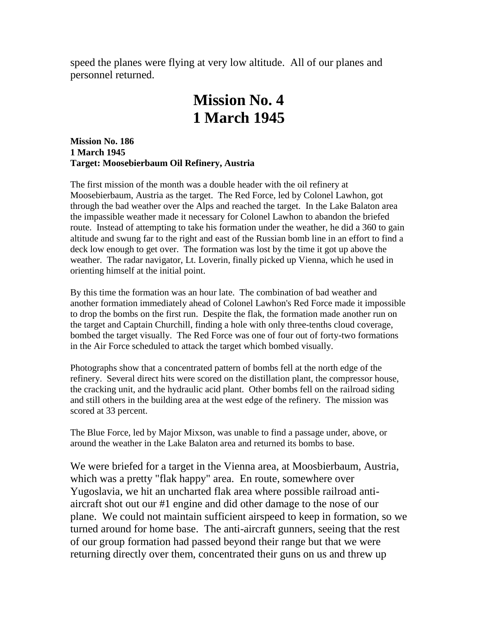speed the planes were flying at very low altitude. All of our planes and personnel returned.

### **Mission No. 4 1 March 1945**

**Mission No. 186 1 March 1945 Target: Moosebierbaum Oil Refinery, Austria**

The first mission of the month was a double header with the oil refinery at Moosebierbaum, Austria as the target. The Red Force, led by Colonel Lawhon, got through the bad weather over the Alps and reached the target. In the Lake Balaton area the impassible weather made it necessary for Colonel Lawhon to abandon the briefed route. Instead of attempting to take his formation under the weather, he did a 360 to gain altitude and swung far to the right and east of the Russian bomb line in an effort to find a deck low enough to get over. The formation was lost by the time it got up above the weather. The radar navigator, Lt. Loverin, finally picked up Vienna, which he used in orienting himself at the initial point.

By this time the formation was an hour late. The combination of bad weather and another formation immediately ahead of Colonel Lawhon's Red Force made it impossible to drop the bombs on the first run. Despite the flak, the formation made another run on the target and Captain Churchill, finding a hole with only three-tenths cloud coverage, bombed the target visually. The Red Force was one of four out of forty-two formations in the Air Force scheduled to attack the target which bombed visually.

Photographs show that a concentrated pattern of bombs fell at the north edge of the refinery. Several direct hits were scored on the distillation plant, the compressor house, the cracking unit, and the hydraulic acid plant. Other bombs fell on the railroad siding and still others in the building area at the west edge of the refinery. The mission was scored at 33 percent.

The Blue Force, led by Major Mixson, was unable to find a passage under, above, or around the weather in the Lake Balaton area and returned its bombs to base.

We were briefed for a target in the Vienna area, at Moosbierbaum, Austria, which was a pretty "flak happy" area. En route, somewhere over Yugoslavia, we hit an uncharted flak area where possible railroad antiaircraft shot out our #1 engine and did other damage to the nose of our plane. We could not maintain sufficient airspeed to keep in formation, so we turned around for home base. The anti-aircraft gunners, seeing that the rest of our group formation had passed beyond their range but that we were returning directly over them, concentrated their guns on us and threw up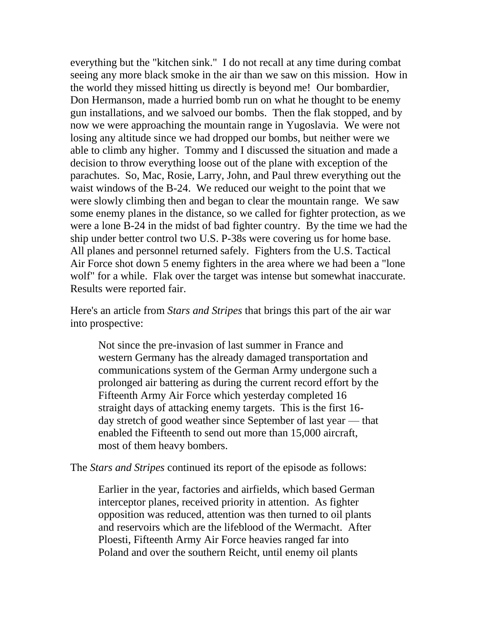everything but the "kitchen sink." I do not recall at any time during combat seeing any more black smoke in the air than we saw on this mission. How in the world they missed hitting us directly is beyond me! Our bombardier, Don Hermanson, made a hurried bomb run on what he thought to be enemy gun installations, and we salvoed our bombs. Then the flak stopped, and by now we were approaching the mountain range in Yugoslavia. We were not losing any altitude since we had dropped our bombs, but neither were we able to climb any higher. Tommy and I discussed the situation and made a decision to throw everything loose out of the plane with exception of the parachutes. So, Mac, Rosie, Larry, John, and Paul threw everything out the waist windows of the B-24. We reduced our weight to the point that we were slowly climbing then and began to clear the mountain range. We saw some enemy planes in the distance, so we called for fighter protection, as we were a lone B-24 in the midst of bad fighter country. By the time we had the ship under better control two U.S. P-38s were covering us for home base. All planes and personnel returned safely. Fighters from the U.S. Tactical Air Force shot down 5 enemy fighters in the area where we had been a "lone wolf" for a while. Flak over the target was intense but somewhat inaccurate. Results were reported fair.

Here's an article from *Stars and Stripes* that brings this part of the air war into prospective:

Not since the pre-invasion of last summer in France and western Germany has the already damaged transportation and communications system of the German Army undergone such a prolonged air battering as during the current record effort by the Fifteenth Army Air Force which yesterday completed 16 straight days of attacking enemy targets. This is the first 16 day stretch of good weather since September of last year — that enabled the Fifteenth to send out more than 15,000 aircraft, most of them heavy bombers.

The *Stars and Stripes* continued its report of the episode as follows:

Earlier in the year, factories and airfields, which based German interceptor planes, received priority in attention. As fighter opposition was reduced, attention was then turned to oil plants and reservoirs which are the lifeblood of the Wermacht. After Ploesti, Fifteenth Army Air Force heavies ranged far into Poland and over the southern Reicht, until enemy oil plants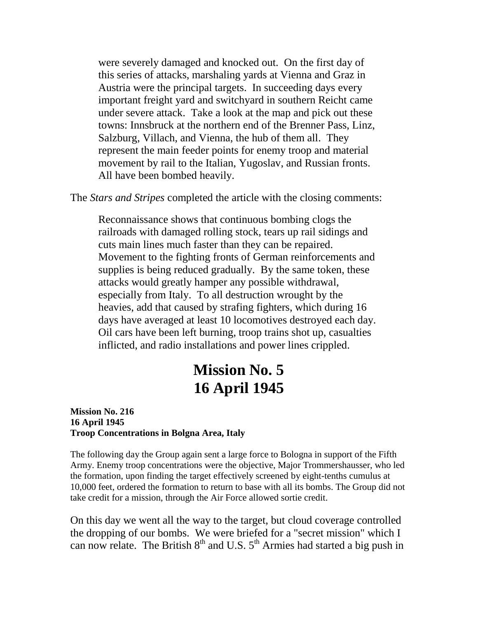were severely damaged and knocked out. On the first day of this series of attacks, marshaling yards at Vienna and Graz in Austria were the principal targets. In succeeding days every important freight yard and switchyard in southern Reicht came under severe attack. Take a look at the map and pick out these towns: Innsbruck at the northern end of the Brenner Pass, Linz, Salzburg, Villach, and Vienna, the hub of them all. They represent the main feeder points for enemy troop and material movement by rail to the Italian, Yugoslav, and Russian fronts. All have been bombed heavily.

The *Stars and Stripes* completed the article with the closing comments:

Reconnaissance shows that continuous bombing clogs the railroads with damaged rolling stock, tears up rail sidings and cuts main lines much faster than they can be repaired. Movement to the fighting fronts of German reinforcements and supplies is being reduced gradually. By the same token, these attacks would greatly hamper any possible withdrawal, especially from Italy. To all destruction wrought by the heavies, add that caused by strafing fighters, which during 16 days have averaged at least 10 locomotives destroyed each day. Oil cars have been left burning, troop trains shot up, casualties inflicted, and radio installations and power lines crippled.

### **Mission No. 5 16 April 1945**

#### **Mission No. 216 16 April 1945 Troop Concentrations in Bolgna Area, Italy**

The following day the Group again sent a large force to Bologna in support of the Fifth Army. Enemy troop concentrations were the objective, Major Trommershausser, who led the formation, upon finding the target effectively screened by eight-tenths cumulus at 10,000 feet, ordered the formation to return to base with all its bombs. The Group did not take credit for a mission, through the Air Force allowed sortie credit.

On this day we went all the way to the target, but cloud coverage controlled the dropping of our bombs. We were briefed for a "secret mission" which I can now relate. The British  $8<sup>th</sup>$  and U.S.  $5<sup>th</sup>$  Armies had started a big push in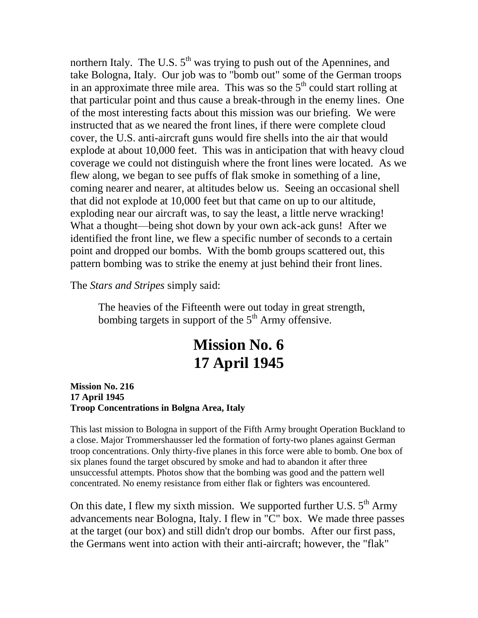northern Italy. The U.S.  $5<sup>th</sup>$  was trying to push out of the Apennines, and take Bologna, Italy. Our job was to "bomb out" some of the German troops in an approximate three mile area. This was so the  $5<sup>th</sup>$  could start rolling at that particular point and thus cause a break-through in the enemy lines. One of the most interesting facts about this mission was our briefing. We were instructed that as we neared the front lines, if there were complete cloud cover, the U.S. anti-aircraft guns would fire shells into the air that would explode at about 10,000 feet. This was in anticipation that with heavy cloud coverage we could not distinguish where the front lines were located. As we flew along, we began to see puffs of flak smoke in something of a line, coming nearer and nearer, at altitudes below us. Seeing an occasional shell that did not explode at 10,000 feet but that came on up to our altitude, exploding near our aircraft was, to say the least, a little nerve wracking! What a thought—being shot down by your own ack-ack guns! After we identified the front line, we flew a specific number of seconds to a certain point and dropped our bombs. With the bomb groups scattered out, this pattern bombing was to strike the enemy at just behind their front lines.

The *Stars and Stripes* simply said:

The heavies of the Fifteenth were out today in great strength, bombing targets in support of the  $5<sup>th</sup>$  Army offensive.

# **Mission No. 6 17 April 1945**

**Mission No. 216 17 April 1945 Troop Concentrations in Bolgna Area, Italy**

This last mission to Bologna in support of the Fifth Army brought Operation Buckland to a close. Major Trommershausser led the formation of forty-two planes against German troop concentrations. Only thirty-five planes in this force were able to bomb. One box of six planes found the target obscured by smoke and had to abandon it after three unsuccessful attempts. Photos show that the bombing was good and the pattern well concentrated. No enemy resistance from either flak or fighters was encountered.

On this date, I flew my sixth mission. We supported further U.S.  $5<sup>th</sup>$  Army advancements near Bologna, Italy. I flew in "C" box. We made three passes at the target (our box) and still didn't drop our bombs. After our first pass, the Germans went into action with their anti-aircraft; however, the "flak"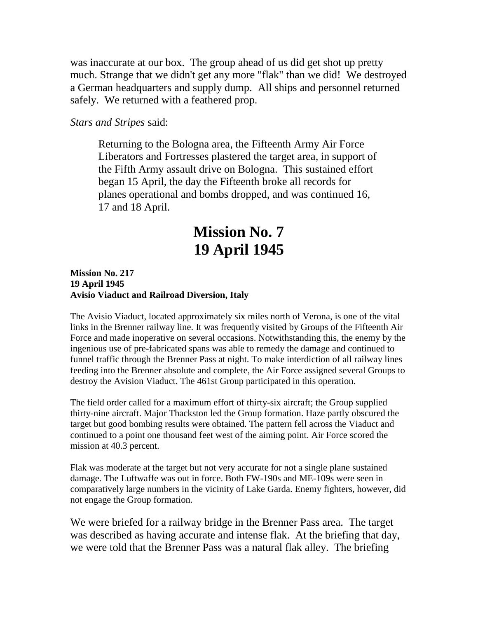was inaccurate at our box. The group ahead of us did get shot up pretty much. Strange that we didn't get any more "flak" than we did! We destroyed a German headquarters and supply dump. All ships and personnel returned safely. We returned with a feathered prop.

*Stars and Stripes* said:

Returning to the Bologna area, the Fifteenth Army Air Force Liberators and Fortresses plastered the target area, in support of the Fifth Army assault drive on Bologna. This sustained effort began 15 April, the day the Fifteenth broke all records for planes operational and bombs dropped, and was continued 16, 17 and 18 April.

# **Mission No. 7 19 April 1945**

**Mission No. 217 19 April 1945 Avisio Viaduct and Railroad Diversion, Italy**

The Avisio Viaduct, located approximately six miles north of Verona, is one of the vital links in the Brenner railway line. It was frequently visited by Groups of the Fifteenth Air Force and made inoperative on several occasions. Notwithstanding this, the enemy by the ingenious use of pre-fabricated spans was able to remedy the damage and continued to funnel traffic through the Brenner Pass at night. To make interdiction of all railway lines feeding into the Brenner absolute and complete, the Air Force assigned several Groups to destroy the Avision Viaduct. The 461st Group participated in this operation.

The field order called for a maximum effort of thirty-six aircraft; the Group supplied thirty-nine aircraft. Major Thackston led the Group formation. Haze partly obscured the target but good bombing results were obtained. The pattern fell across the Viaduct and continued to a point one thousand feet west of the aiming point. Air Force scored the mission at 40.3 percent.

Flak was moderate at the target but not very accurate for not a single plane sustained damage. The Luftwaffe was out in force. Both FW-190s and ME-109s were seen in comparatively large numbers in the vicinity of Lake Garda. Enemy fighters, however, did not engage the Group formation.

We were briefed for a railway bridge in the Brenner Pass area. The target was described as having accurate and intense flak. At the briefing that day, we were told that the Brenner Pass was a natural flak alley. The briefing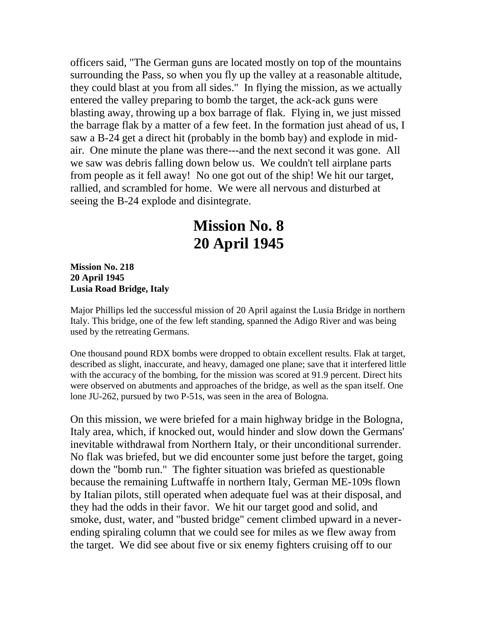officers said, "The German guns are located mostly on top of the mountains surrounding the Pass, so when you fly up the valley at a reasonable altitude, they could blast at you from all sides." In flying the mission, as we actually entered the valley preparing to bomb the target, the ack-ack guns were blasting away, throwing up a box barrage of flak. Flying in, we just missed the barrage flak by a matter of a few feet. In the formation just ahead of us, I saw a B-24 get a direct hit (probably in the bomb bay) and explode in midair. One minute the plane was there---and the next second it was gone. All we saw was debris falling down below us. We couldn't tell airplane parts from people as it fell away! No one got out of the ship! We hit our target, rallied, and scrambled for home. We were all nervous and disturbed at seeing the B-24 explode and disintegrate.

# **Mission No. 8 20 April 1945**

**Mission No. 218 20 April 1945 Lusia Road Bridge, Italy**

Major Phillips led the successful mission of 20 April against the Lusia Bridge in northern Italy. This bridge, one of the few left standing, spanned the Adigo River and was being used by the retreating Germans.

One thousand pound RDX bombs were dropped to obtain excellent results. Flak at target, described as slight, inaccurate, and heavy, damaged one plane; save that it interfered little with the accuracy of the bombing, for the mission was scored at 91.9 percent. Direct hits were observed on abutments and approaches of the bridge, as well as the span itself. One lone JU-262, pursued by two P-51s, was seen in the area of Bologna.

On this mission, we were briefed for a main highway bridge in the Bologna, Italy area, which, if knocked out, would hinder and slow down the Germans' inevitable withdrawal from Northern Italy, or their unconditional surrender. No flak was briefed, but we did encounter some just before the target, going down the "bomb run." The fighter situation was briefed as questionable because the remaining Luftwaffe in northern Italy, German ME-109s flown by Italian pilots, still operated when adequate fuel was at their disposal, and they had the odds in their favor. We hit our target good and solid, and smoke, dust, water, and "busted bridge" cement climbed upward in a neverending spiraling column that we could see for miles as we flew away from the target. We did see about five or six enemy fighters cruising off to our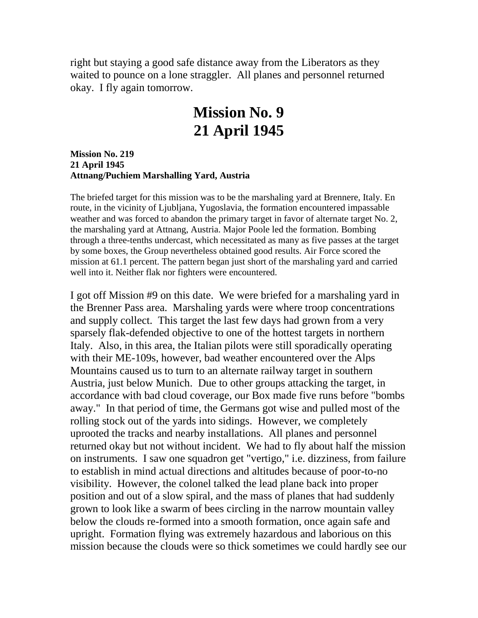right but staying a good safe distance away from the Liberators as they waited to pounce on a lone straggler. All planes and personnel returned okay. I fly again tomorrow.

### **Mission No. 9 21 April 1945**

**Mission No. 219 21 April 1945 Attnang/Puchiem Marshalling Yard, Austria**

The briefed target for this mission was to be the marshaling yard at Brennere, Italy. En route, in the vicinity of Ljubljana, Yugoslavia, the formation encountered impassable weather and was forced to abandon the primary target in favor of alternate target No. 2, the marshaling yard at Attnang, Austria. Major Poole led the formation. Bombing through a three-tenths undercast, which necessitated as many as five passes at the target by some boxes, the Group nevertheless obtained good results. Air Force scored the mission at 61.1 percent. The pattern began just short of the marshaling yard and carried well into it. Neither flak nor fighters were encountered.

I got off Mission #9 on this date. We were briefed for a marshaling yard in the Brenner Pass area. Marshaling yards were where troop concentrations and supply collect. This target the last few days had grown from a very sparsely flak-defended objective to one of the hottest targets in northern Italy. Also, in this area, the Italian pilots were still sporadically operating with their ME-109s, however, bad weather encountered over the Alps Mountains caused us to turn to an alternate railway target in southern Austria, just below Munich. Due to other groups attacking the target, in accordance with bad cloud coverage, our Box made five runs before "bombs away." In that period of time, the Germans got wise and pulled most of the rolling stock out of the yards into sidings. However, we completely uprooted the tracks and nearby installations. All planes and personnel returned okay but not without incident. We had to fly about half the mission on instruments. I saw one squadron get "vertigo," i.e. dizziness, from failure to establish in mind actual directions and altitudes because of poor-to-no visibility. However, the colonel talked the lead plane back into proper position and out of a slow spiral, and the mass of planes that had suddenly grown to look like a swarm of bees circling in the narrow mountain valley below the clouds re-formed into a smooth formation, once again safe and upright. Formation flying was extremely hazardous and laborious on this mission because the clouds were so thick sometimes we could hardly see our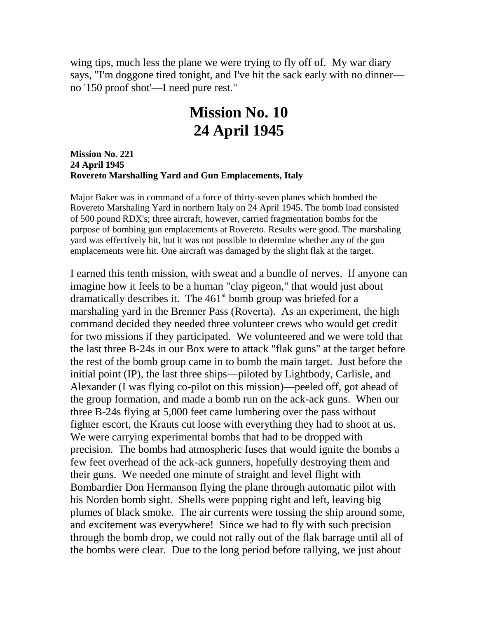wing tips, much less the plane we were trying to fly off of. My war diary says, "I'm doggone tired tonight, and I've hit the sack early with no dinner no '150 proof shot'—I need pure rest."

### **Mission No. 10 24 April 1945**

**Mission No. 221 24 April 1945 Rovereto Marshalling Yard and Gun Emplacements, Italy**

Major Baker was in command of a force of thirty-seven planes which bombed the Rovereto Marshaling Yard in northern Italy on 24 April 1945. The bomb load consisted of 500 pound RDX's; three aircraft, however, carried fragmentation bombs for the purpose of bombing gun emplacements at Rovereto. Results were good. The marshaling yard was effectively hit, but it was not possible to determine whether any of the gun emplacements were hit. One aircraft was damaged by the slight flak at the target.

I earned this tenth mission, with sweat and a bundle of nerves. If anyone can imagine how it feels to be a human "clay pigeon," that would just about dramatically describes it. The  $461<sup>st</sup>$  bomb group was briefed for a marshaling yard in the Brenner Pass (Roverta). As an experiment, the high command decided they needed three volunteer crews who would get credit for two missions if they participated. We volunteered and we were told that the last three B-24s in our Box were to attack "flak guns" at the target before the rest of the bomb group came in to bomb the main target. Just before the initial point (IP), the last three ships—piloted by Lightbody, Carlisle, and Alexander (I was flying co-pilot on this mission)—peeled off, got ahead of the group formation, and made a bomb run on the ack-ack guns. When our three B-24s flying at 5,000 feet came lumbering over the pass without fighter escort, the Krauts cut loose with everything they had to shoot at us. We were carrying experimental bombs that had to be dropped with precision. The bombs had atmospheric fuses that would ignite the bombs a few feet overhead of the ack-ack gunners, hopefully destroying them and their guns. We needed one minute of straight and level flight with Bombardier Don Hermanson flying the plane through automatic pilot with his Norden bomb sight. Shells were popping right and left, leaving big plumes of black smoke. The air currents were tossing the ship around some, and excitement was everywhere! Since we had to fly with such precision through the bomb drop, we could not rally out of the flak barrage until all of the bombs were clear. Due to the long period before rallying, we just about